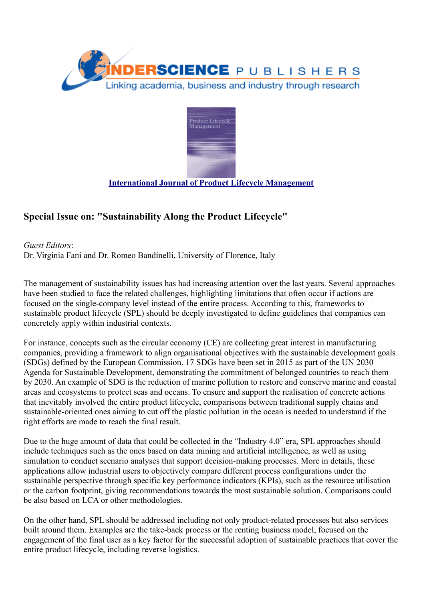



## **[International Journal of Product Lifecycle Management](https://www.inderscience.com/jhome.php?jcode=ijplm)**

# **Special Issue on: "Sustainability Along the Product Lifecycle"**

*Guest Editors*: Dr. Virginia Fani and Dr. Romeo Bandinelli, University of Florence, Italy

The management of sustainability issues has had increasing attention over the last years. Several approaches have been studied to face the related challenges, highlighting limitations that often occur if actions are focused on the single-company level instead of the entire process. According to this, frameworks to sustainable product lifecycle (SPL) should be deeply investigated to define guidelines that companies can concretely apply within industrial contexts.

For instance, concepts such as the circular economy (CE) are collecting great interest in manufacturing companies, providing a framework to align organisational objectives with the sustainable development goals (SDGs) defined by the European Commission. 17 SDGs have been set in 2015 as part of the UN 2030 Agenda for Sustainable Development, demonstrating the commitment of belonged countries to reach them by 2030. An example of SDG is the reduction of marine pollution to restore and conserve marine and coastal areas and ecosystems to protect seas and oceans. To ensure and support the realisation of concrete actions that inevitably involved the entire product lifecycle, comparisons between traditional supply chains and sustainable-oriented ones aiming to cut off the plastic pollution in the ocean is needed to understand if the right efforts are made to reach the final result.

Due to the huge amount of data that could be collected in the "Industry 4.0" era, SPL approaches should include techniques such as the ones based on data mining and artificial intelligence, as well as using simulation to conduct scenario analyses that support decision-making processes. More in details, these applications allow industrial users to objectively compare different process configurations under the sustainable perspective through specific key performance indicators (KPIs), such as the resource utilisation or the carbon footprint, giving recommendations towards the most sustainable solution. Comparisons could be also based on LCA or other methodologies.

On the other hand, SPL should be addressed including not only product-related processes but also services built around them. Examples are the take-back process or the renting business model, focused on the engagement of the final user as a key factor for the successful adoption of sustainable practices that cover the entire product lifecycle, including reverse logistics.